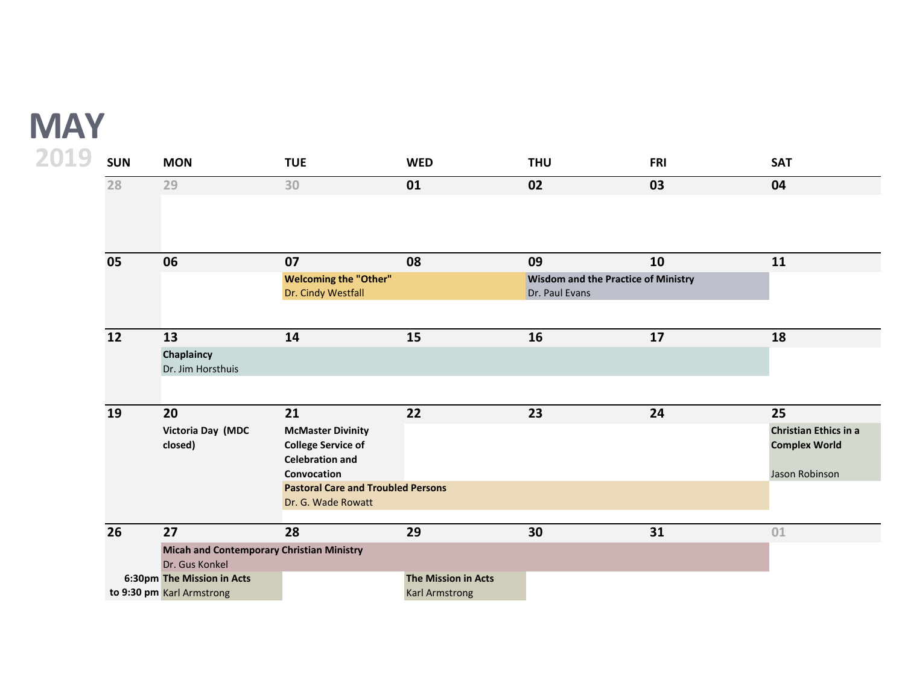## **MAY**

| 2019<br><b>SUN</b> | <b>MON</b>                                                         | <b>TUE</b>                                                                      | <b>WED</b>                                          | <b>THU</b>     | <b>FRI</b>                                 | <b>SAT</b>                                    |
|--------------------|--------------------------------------------------------------------|---------------------------------------------------------------------------------|-----------------------------------------------------|----------------|--------------------------------------------|-----------------------------------------------|
| 28                 | 29                                                                 | 30                                                                              | 01                                                  | 02             | 03                                         | 04                                            |
|                    |                                                                    |                                                                                 |                                                     |                |                                            |                                               |
| 05                 | 06                                                                 | 07                                                                              | 08                                                  | 09             | 10                                         | 11                                            |
| 12                 |                                                                    | <b>Welcoming the "Other"</b><br>Dr. Cindy Westfall                              |                                                     | Dr. Paul Evans | <b>Wisdom and the Practice of Ministry</b> |                                               |
|                    | 13                                                                 | 14                                                                              | 15                                                  | 16             | 17                                         | 18                                            |
|                    | Chaplaincy<br>Dr. Jim Horsthuis                                    |                                                                                 |                                                     |                |                                            |                                               |
| 19                 | 20                                                                 | 21                                                                              | 22                                                  | 23             | 24                                         | 25                                            |
|                    | Victoria Day (MDC<br>closed)                                       | <b>McMaster Divinity</b><br><b>College Service of</b><br><b>Celebration and</b> |                                                     |                |                                            | Christian Ethics in a<br><b>Complex World</b> |
|                    |                                                                    | Convocation<br><b>Pastoral Care and Troubled Persons</b>                        |                                                     |                |                                            | Jason Robinson                                |
|                    |                                                                    | Dr. G. Wade Rowatt                                                              |                                                     |                |                                            |                                               |
| 26                 | 27                                                                 | 28                                                                              | 29                                                  | 30             | 31                                         | 01                                            |
|                    | <b>Micah and Contemporary Christian Ministry</b><br>Dr. Gus Konkel |                                                                                 |                                                     |                |                                            |                                               |
|                    | 6:30pm The Mission in Acts<br>to 9:30 pm Karl Armstrong            |                                                                                 | <b>The Mission in Acts</b><br><b>Karl Armstrong</b> |                |                                            |                                               |